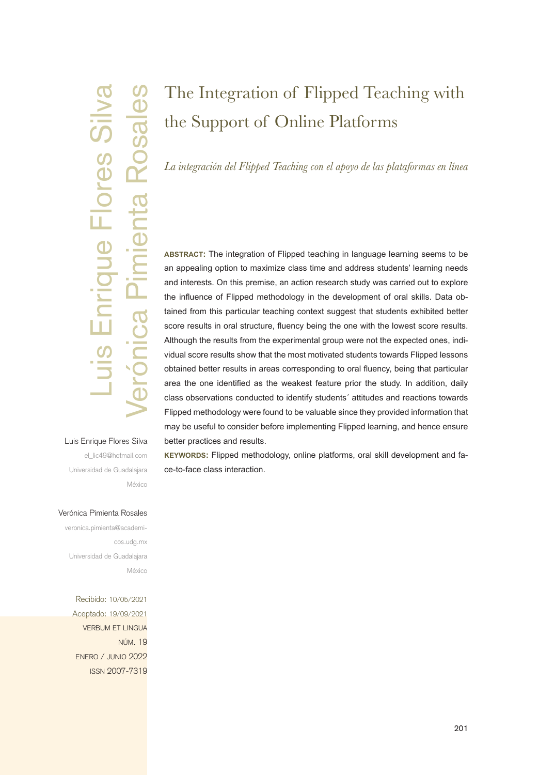# Meridae Canadagiana<br>
Accided: 19/09/2021<br>
Accided: 19/09/2021<br>
Accided: 19/09/2021<br>
Aceptado: 19/09/2021<br>
Aceptado: 19/09/2021<br>
Aceptado: 19/09/2021<br>
Aceptado: 19/09/2021<br>
Aceptado: 19/09/2021<br>
Aceptado: 19/09/2021<br>
Acepta Rosales Flores<sub>S</sub>  $\frac{1}{2}$

### Luis Enrique Flores Silva

el\_lic49@hotmail.com Universidad de Guadalajara México

# The Integration of Flipped Teaching with the Support of Online Platforms

*La integración del Flipped Teaching con el apoyo de las plataformas en línea*

**abstract:** The integration of Flipped teaching in language learning seems to be an appealing option to maximize class time and address students' learning needs and interests. On this premise, an action research study was carried out to explore the influence of Flipped methodology in the development of oral skills. Data obtained from this particular teaching context suggest that students exhibited better score results in oral structure, fluency being the one with the lowest score results. Although the results from the experimental group were not the expected ones, individual score results show that the most motivated students towards Flipped lessons obtained better results in areas corresponding to oral fluency, being that particular area the one identified as the weakest feature prior the study. In addition, daily class observations conducted to identify students´ attitudes and reactions towards Flipped methodology were found to be valuable since they provided information that may be useful to consider before implementing Flipped learning, and hence ensure better practices and results.

**keywords:** Flipped methodology, online platforms, oral skill development and face-to-face class interaction.

### Verónica Pimienta Rosales

veronica.pimienta@academicos.udg.mx Universidad de Guadalajara México

Recibido: 10/05/2021 Aceptado: 19/09/2021 verbum et lingua núm. 19 enero / junio 2022 issn 2007-7319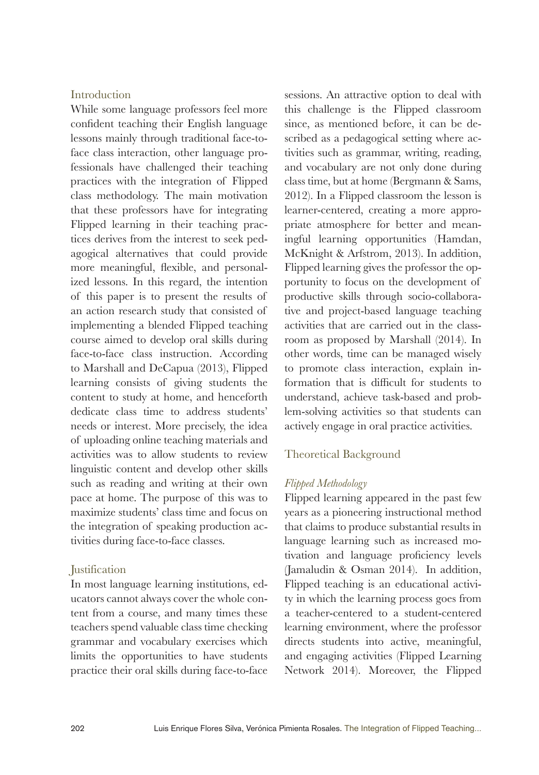### **Introduction**

While some language professors feel more confident teaching their English language lessons mainly through traditional face-toface class interaction, other language professionals have challenged their teaching practices with the integration of Flipped class methodology. The main motivation that these professors have for integrating Flipped learning in their teaching practices derives from the interest to seek pedagogical alternatives that could provide more meaningful, flexible, and personalized lessons. In this regard, the intention of this paper is to present the results of an action research study that consisted of implementing a blended Flipped teaching course aimed to develop oral skills during face-to-face class instruction. According to Marshall and DeCapua (2013), Flipped learning consists of giving students the content to study at home, and henceforth dedicate class time to address students' needs or interest. More precisely, the idea of uploading online teaching materials and activities was to allow students to review linguistic content and develop other skills such as reading and writing at their own pace at home. The purpose of this was to maximize students' class time and focus on the integration of speaking production activities during face-to-face classes.

### Justification

In most language learning institutions, educators cannot always cover the whole content from a course, and many times these teachers spend valuable class time checking grammar and vocabulary exercises which limits the opportunities to have students practice their oral skills during face-to-face

sessions. An attractive option to deal with this challenge is the Flipped classroom since, as mentioned before, it can be described as a pedagogical setting where activities such as grammar, writing, reading, and vocabulary are not only done during class time, but at home (Bergmann & Sams, 2012). In a Flipped classroom the lesson is learner-centered, creating a more appropriate atmosphere for better and meaningful learning opportunities (Hamdan, McKnight & Arfstrom, 2013). In addition, Flipped learning gives the professor the opportunity to focus on the development of productive skills through socio-collaborative and project-based language teaching activities that are carried out in the classroom as proposed by Marshall (2014). In other words, time can be managed wisely to promote class interaction, explain information that is difficult for students to understand, achieve task-based and problem-solving activities so that students can actively engage in oral practice activities.

### Theoretical Background

### *Flipped Methodology*

Flipped learning appeared in the past few years as a pioneering instructional method that claims to produce substantial results in language learning such as increased motivation and language proficiency levels (Jamaludin & Osman 2014). In addition, Flipped teaching is an educational activity in which the learning process goes from a teacher-centered to a student-centered learning environment, where the professor directs students into active, meaningful, and engaging activities (Flipped Learning Network 2014). Moreover, the Flipped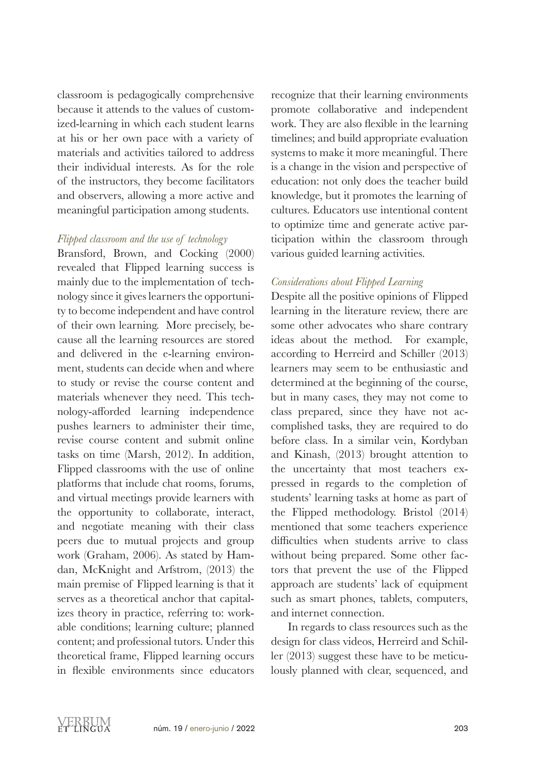classroom is pedagogically comprehensive because it attends to the values of customized-learning in which each student learns at his or her own pace with a variety of materials and activities tailored to address their individual interests. As for the role of the instructors, they become facilitators and observers, allowing a more active and meaningful participation among students.

### *Flipped classroom and the use of technology*

Bransford, Brown, and Cocking (2000) revealed that Flipped learning success is mainly due to the implementation of technology since it gives learners the opportunity to become independent and have control of their own learning. More precisely, because all the learning resources are stored and delivered in the e-learning environment, students can decide when and where to study or revise the course content and materials whenever they need. This technology-afforded learning independence pushes learners to administer their time, revise course content and submit online tasks on time (Marsh, 2012). In addition, Flipped classrooms with the use of online platforms that include chat rooms, forums, and virtual meetings provide learners with the opportunity to collaborate, interact, and negotiate meaning with their class peers due to mutual projects and group work (Graham, 2006). As stated by Hamdan, McKnight and Arfstrom, (2013) the main premise of Flipped learning is that it serves as a theoretical anchor that capitalizes theory in practice, referring to: workable conditions; learning culture; planned content; and professional tutors. Under this theoretical frame, Flipped learning occurs in flexible environments since educators

recognize that their learning environments promote collaborative and independent work. They are also flexible in the learning timelines; and build appropriate evaluation systems to make it more meaningful. There is a change in the vision and perspective of education: not only does the teacher build knowledge, but it promotes the learning of cultures. Educators use intentional content to optimize time and generate active participation within the classroom through various guided learning activities.

### *Considerations about Flipped Learning*

Despite all the positive opinions of Flipped learning in the literature review, there are some other advocates who share contrary ideas about the method. For example, according to Herreird and Schiller (2013) learners may seem to be enthusiastic and determined at the beginning of the course, but in many cases, they may not come to class prepared, since they have not accomplished tasks, they are required to do before class. In a similar vein, Kordyban and Kinash, (2013) brought attention to the uncertainty that most teachers expressed in regards to the completion of students' learning tasks at home as part of the Flipped methodology. Bristol (2014) mentioned that some teachers experience difficulties when students arrive to class without being prepared. Some other factors that prevent the use of the Flipped approach are students' lack of equipment such as smart phones, tablets, computers, and internet connection.

In regards to class resources such as the design for class videos, Herreird and Schiller (2013) suggest these have to be meticulously planned with clear, sequenced, and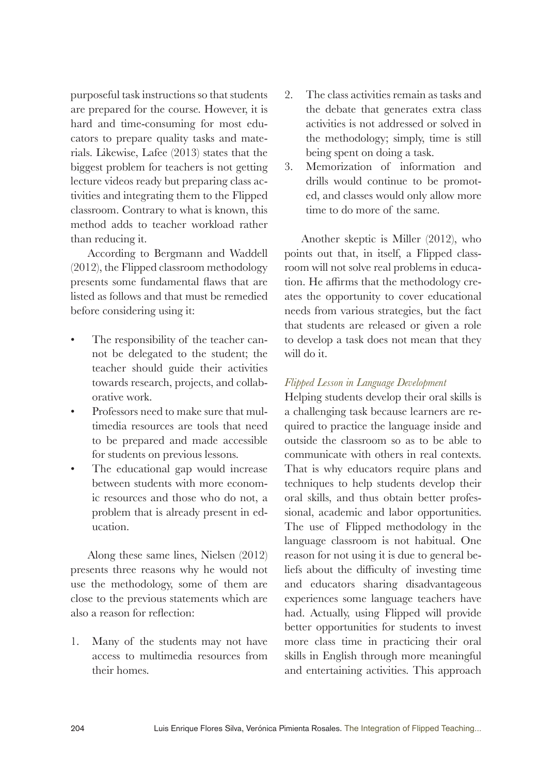purposeful task instructions so that students are prepared for the course. However, it is hard and time-consuming for most educators to prepare quality tasks and materials. Likewise, Lafee (2013) states that the biggest problem for teachers is not getting lecture videos ready but preparing class activities and integrating them to the Flipped classroom. Contrary to what is known, this method adds to teacher workload rather than reducing it.

According to Bergmann and Waddell (2012), the Flipped classroom methodology presents some fundamental flaws that are listed as follows and that must be remedied before considering using it:

- The responsibility of the teacher cannot be delegated to the student; the teacher should guide their activities towards research, projects, and collaborative work.
- Professors need to make sure that multimedia resources are tools that need to be prepared and made accessible for students on previous lessons.
- The educational gap would increase between students with more economic resources and those who do not, a problem that is already present in education.

Along these same lines, Nielsen (2012) presents three reasons why he would not use the methodology, some of them are close to the previous statements which are also a reason for reflection:

1. Many of the students may not have access to multimedia resources from their homes.

- 2. The class activities remain as tasks and the debate that generates extra class activities is not addressed or solved in the methodology; simply, time is still being spent on doing a task.
- 3. Memorization of information and drills would continue to be promoted, and classes would only allow more time to do more of the same.

Another skeptic is Miller (2012), who points out that, in itself, a Flipped classroom will not solve real problems in education. He affirms that the methodology creates the opportunity to cover educational needs from various strategies, but the fact that students are released or given a role to develop a task does not mean that they will do it.

### *Flipped Lesson in Language Development*

Helping students develop their oral skills is a challenging task because learners are required to practice the language inside and outside the classroom so as to be able to communicate with others in real contexts. That is why educators require plans and techniques to help students develop their oral skills, and thus obtain better professional, academic and labor opportunities. The use of Flipped methodology in the language classroom is not habitual. One reason for not using it is due to general beliefs about the difficulty of investing time and educators sharing disadvantageous experiences some language teachers have had. Actually, using Flipped will provide better opportunities for students to invest more class time in practicing their oral skills in English through more meaningful and entertaining activities. This approach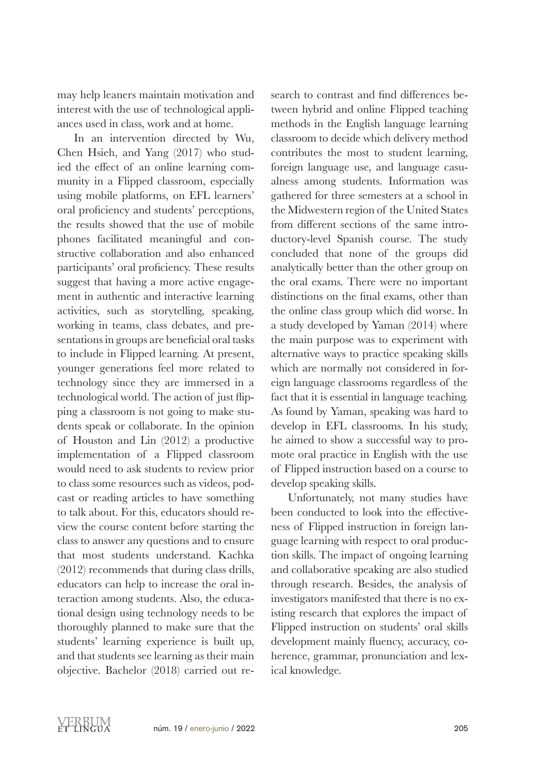may help leaners maintain motivation and interest with the use of technological appliances used in class, work and at home.

In an intervention directed by Wu, Chen Hsieh, and Yang (2017) who studied the effect of an online learning community in a Flipped classroom, especially using mobile platforms, on EFL learners' oral proficiency and students' perceptions, the results showed that the use of mobile phones facilitated meaningful and constructive collaboration and also enhanced participants' oral proficiency. These results suggest that having a more active engagement in authentic and interactive learning activities, such as storytelling, speaking, working in teams, class debates, and presentations in groups are beneficial oral tasks to include in Flipped learning. At present, younger generations feel more related to technology since they are immersed in a technological world. The action of just flipping a classroom is not going to make students speak or collaborate. In the opinion of Houston and Lin (2012) a productive implementation of a Flipped classroom would need to ask students to review prior to class some resources such as videos, podcast or reading articles to have something to talk about. For this, educators should review the course content before starting the class to answer any questions and to ensure that most students understand. Kachka (2012) recommends that during class drills, educators can help to increase the oral interaction among students. Also, the educational design using technology needs to be thoroughly planned to make sure that the students' learning experience is built up, and that students see learning as their main objective. Bachelor (2018) carried out re-

search to contrast and find differences between hybrid and online Flipped teaching methods in the English language learning classroom to decide which delivery method contributes the most to student learning, foreign language use, and language casualness among students. Information was gathered for three semesters at a school in the Midwestern region of the United States from different sections of the same introductory-level Spanish course. The study concluded that none of the groups did analytically better than the other group on the oral exams. There were no important distinctions on the final exams, other than the online class group which did worse. In a study developed by Yaman (2014) where the main purpose was to experiment with alternative ways to practice speaking skills which are normally not considered in foreign language classrooms regardless of the fact that it is essential in language teaching. As found by Yaman, speaking was hard to develop in EFL classrooms. In his study, he aimed to show a successful way to promote oral practice in English with the use of Flipped instruction based on a course to develop speaking skills.

Unfortunately, not many studies have been conducted to look into the effectiveness of Flipped instruction in foreign language learning with respect to oral production skills. The impact of ongoing learning and collaborative speaking are also studied through research. Besides, the analysis of investigators manifested that there is no existing research that explores the impact of Flipped instruction on students' oral skills development mainly fluency, accuracy, coherence, grammar, pronunciation and lexical knowledge.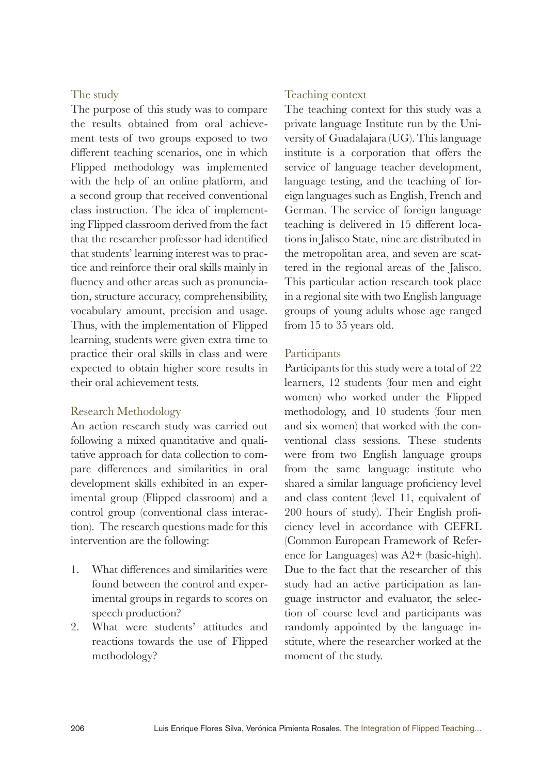### The study

The purpose of this study was to compare the results obtained from oral achievement tests of two groups exposed to two different teaching scenarios, one in which Flipped methodology was implemented with the help of an online platform, and a second group that received conventional class instruction. The idea of implementing Flipped classroom derived from the fact that the researcher professor had identified that students' learning interest was to practice and reinforce their oral skills mainly in fluency and other areas such as pronunciation, structure accuracy, comprehensibility, vocabulary amount, precision and usage. Thus, with the implementation of Flipped learning, students were given extra time to practice their oral skills in class and were expected to obtain higher score results in their oral achievement tests.

### Research Methodology

An action research study was carried out following a mixed quantitative and qualitative approach for data collection to compare differences and similarities in oral development skills exhibited in an experimental group (Flipped classroom) and a control group (conventional class interaction). The research questions made for this intervention are the following:

- 1. What differences and similarities were found between the control and experimental groups in regards to scores on speech production?
- 2. What were students' attitudes and reactions towards the use of Flipped methodology?

### Teaching context

The teaching context for this study was a private language Institute run by the University of Guadalajara (UG). This language institute is a corporation that offers the service of language teacher development, language testing, and the teaching of foreign languages such as English, French and German. The service of foreign language teaching is delivered in 15 different locations in Jalisco State, nine are distributed in the metropolitan area, and seven are scattered in the regional areas of the Jalisco. This particular action research took place in a regional site with two English language groups of young adults whose age ranged from 15 to 35 years old.

### Participants

Participants for this study were a total of 22 learners, 12 students (four men and eight women) who worked under the Flipped methodology, and 10 students (four men and six women) that worked with the conventional class sessions. These students were from two English language groups from the same language institute who shared a similar language proficiency level and class content (level 11, equivalent of 200 hours of study). Their English proficiency level in accordance with CEFRL (Common European Framework of Reference for Languages) was A2+ (basic-high). Due to the fact that the researcher of this study had an active participation as language instructor and evaluator, the selection of course level and participants was randomly appointed by the language institute, where the researcher worked at the moment of the study.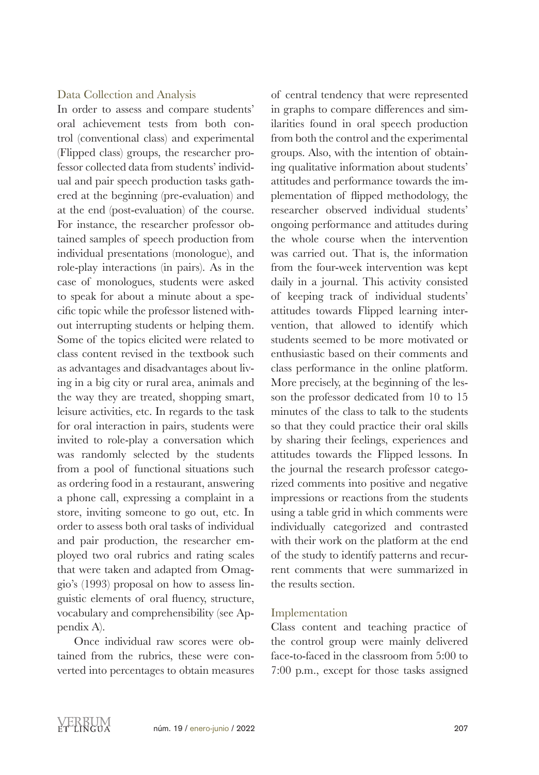### Data Collection and Analysis

In order to assess and compare students' oral achievement tests from both control (conventional class) and experimental (Flipped class) groups, the researcher professor collected data from students' individual and pair speech production tasks gathered at the beginning (pre-evaluation) and at the end (post-evaluation) of the course. For instance, the researcher professor obtained samples of speech production from individual presentations (monologue), and role-play interactions (in pairs). As in the case of monologues, students were asked to speak for about a minute about a specific topic while the professor listened without interrupting students or helping them. Some of the topics elicited were related to class content revised in the textbook such as advantages and disadvantages about living in a big city or rural area, animals and the way they are treated, shopping smart, leisure activities, etc. In regards to the task for oral interaction in pairs, students were invited to role-play a conversation which was randomly selected by the students from a pool of functional situations such as ordering food in a restaurant, answering a phone call, expressing a complaint in a store, inviting someone to go out, etc. In order to assess both oral tasks of individual and pair production, the researcher employed two oral rubrics and rating scales that were taken and adapted from Omaggio's (1993) proposal on how to assess linguistic elements of oral fluency, structure, vocabulary and comprehensibility (see Appendix A).

Once individual raw scores were obtained from the rubrics, these were converted into percentages to obtain measures of central tendency that were represented in graphs to compare differences and similarities found in oral speech production from both the control and the experimental groups. Also, with the intention of obtaining qualitative information about students' attitudes and performance towards the implementation of flipped methodology, the researcher observed individual students' ongoing performance and attitudes during the whole course when the intervention was carried out. That is, the information from the four-week intervention was kept daily in a journal. This activity consisted of keeping track of individual students' attitudes towards Flipped learning intervention, that allowed to identify which students seemed to be more motivated or enthusiastic based on their comments and class performance in the online platform. More precisely, at the beginning of the lesson the professor dedicated from 10 to 15 minutes of the class to talk to the students so that they could practice their oral skills by sharing their feelings, experiences and attitudes towards the Flipped lessons. In the journal the research professor categorized comments into positive and negative impressions or reactions from the students using a table grid in which comments were individually categorized and contrasted with their work on the platform at the end of the study to identify patterns and recurrent comments that were summarized in the results section.

### Implementation

Class content and teaching practice of the control group were mainly delivered face-to-faced in the classroom from 5:00 to 7:00 p.m., except for those tasks assigned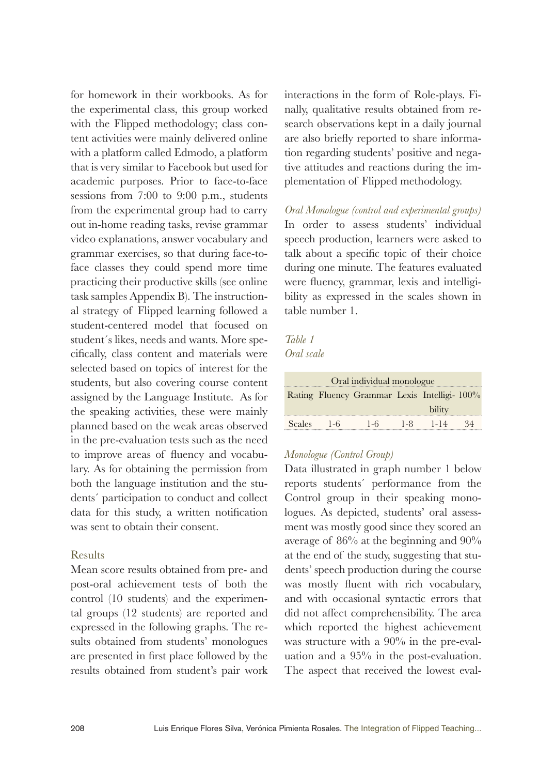for homework in their workbooks. As for the experimental class, this group worked with the Flipped methodology; class content activities were mainly delivered online with a platform called Edmodo, a platform that is very similar to Facebook but used for academic purposes. Prior to face-to-face sessions from 7:00 to 9:00 p.m., students from the experimental group had to carry out in-home reading tasks, revise grammar video explanations, answer vocabulary and grammar exercises, so that during face-toface classes they could spend more time practicing their productive skills (see online task samples Appendix B). The instructional strategy of Flipped learning followed a student-centered model that focused on student´s likes, needs and wants. More specifically, class content and materials were selected based on topics of interest for the students, but also covering course content assigned by the Language Institute. As for the speaking activities, these were mainly planned based on the weak areas observed in the pre-evaluation tests such as the need to improve areas of fluency and vocabulary. As for obtaining the permission from both the language institution and the students´ participation to conduct and collect data for this study, a written notification was sent to obtain their consent.

### Results

Mean score results obtained from pre- and post-oral achievement tests of both the control (10 students) and the experimental groups (12 students) are reported and expressed in the following graphs. The results obtained from students' monologues are presented in first place followed by the results obtained from student's pair work interactions in the form of Role-plays. Finally, qualitative results obtained from research observations kept in a daily journal are also briefly reported to share information regarding students' positive and negative attitudes and reactions during the implementation of Flipped methodology.

*Oral Monologue (control and experimental groups)* In order to assess students' individual speech production, learners were asked to talk about a specific topic of their choice during one minute. The features evaluated were fluency, grammar, lexis and intelligibility as expressed in the scales shown in table number 1.

### *Table 1*

*Oral scale* 

| Oral individual monologue |  |                                             |  |            |    |  |
|---------------------------|--|---------------------------------------------|--|------------|----|--|
|                           |  | Rating Fluency Grammar Lexis Intelligi-100% |  |            |    |  |
|                           |  |                                             |  | bility     |    |  |
| Scales 1-6                |  | $1-6$                                       |  | $1-8$ 1-14 | 34 |  |

### *Monologue (Control Group)*

Data illustrated in graph number 1 below reports students´ performance from the Control group in their speaking monologues. As depicted, students' oral assessment was mostly good since they scored an average of 86% at the beginning and 90% at the end of the study, suggesting that students' speech production during the course was mostly fluent with rich vocabulary, and with occasional syntactic errors that did not affect comprehensibility. The area which reported the highest achievement was structure with a 90% in the pre-evaluation and a 95% in the post-evaluation. The aspect that received the lowest eval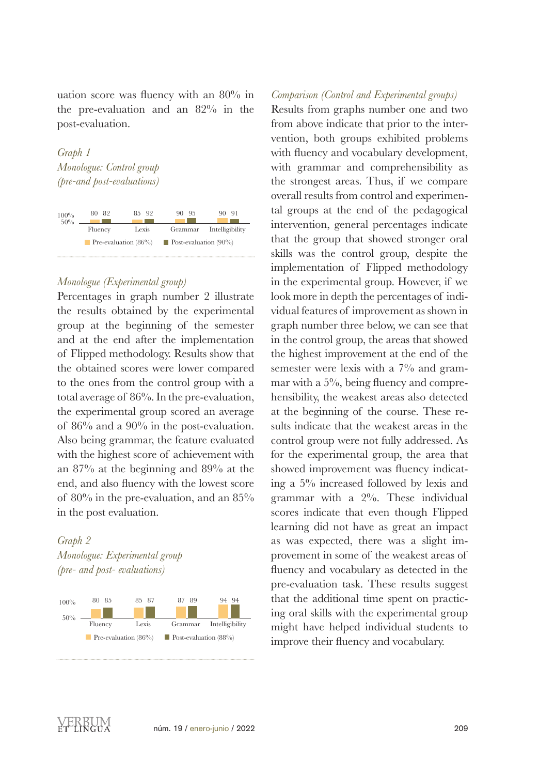uation score was fluency with an 80% in the pre-evaluation and an 82% in the post-evaluation.

*Graph 1 Monologue: Control group (pre-and post-evaluations)* 



### *Monologue (Experimental group)*

Percentages in graph number 2 illustrate the results obtained by the experimental group at the beginning of the semester and at the end after the implementation of Flipped methodology. Results show that the obtained scores were lower compared to the ones from the control group with a total average of 86%. In the pre-evaluation, the experimental group scored an average of  $86\%$  and a  $90\%$  in the post-evaluation. Also being grammar, the feature evaluated with the highest score of achievement with an 87% at the beginning and 89% at the end, and also fluency with the lowest score of 80% in the pre-evaluation, and an 85% in the post evaluation.

## *Graph 2 Monologue: Experimental group (pre- and post- evaluations)*



### *Comparison (Control and Experimental groups)*

Results from graphs number one and two from above indicate that prior to the intervention, both groups exhibited problems with fluency and vocabulary development, with grammar and comprehensibility as the strongest areas. Thus, if we compare overall results from control and experimental groups at the end of the pedagogical intervention, general percentages indicate that the group that showed stronger oral skills was the control group, despite the implementation of Flipped methodology in the experimental group. However, if we look more in depth the percentages of individual features of improvement as shown in graph number three below, we can see that in the control group, the areas that showed the highest improvement at the end of the semester were lexis with a 7% and grammar with a 5%, being fluency and comprehensibility, the weakest areas also detected at the beginning of the course. These results indicate that the weakest areas in the control group were not fully addressed. As for the experimental group, the area that showed improvement was fluency indicating a 5% increased followed by lexis and grammar with a 2%. These individual scores indicate that even though Flipped learning did not have as great an impact as was expected, there was a slight improvement in some of the weakest areas of fluency and vocabulary as detected in the pre-evaluation task. These results suggest that the additional time spent on practicing oral skills with the experimental group might have helped individual students to many experience their fluency and vocabulary improve their fluency and vocabulary.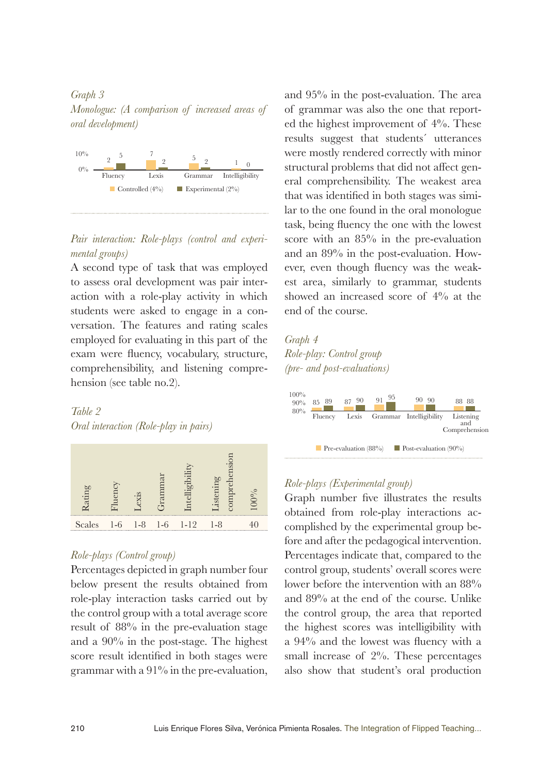### *Graph 3 Monologue: (A comparison of increased areas of oral development)*



### Pair interaction: Role-plays (control and experi*mental groups*)

A second type of task that was employed<br>to assess oral development was pair interto assess oral development was pair interaction with a role-play activity in which students were asked to engage in a conversation. The features and rating scales employed for evaluating in this part of the exam were fluency, vocabulary, structure, comprehensibility, and listening comprehension (see table no.2).

# *Table 2*

*Oral interaction (Role-play in pairs)*



### *Role-plays (Control group)*

Percentages depicted in graph number four below present the results obtained from role-play interaction tasks carried out by the control group with a total average score result of 88% in the pre-evaluation stage and a 90% in the post-stage. The highest score result identified in both stages were grammar with a 91% in the pre-evaluation,

and 95% in the post-evaluation. The area of grammar was also the one that reported the highest improvement of 4%. These results suggest that students´ utterances were mostly rendered correctly with minor structural problems that did not affect general comprehensibility. The weakest area that was identified in both stages was similar to the one found in the oral monologue task, being fluency the one with the lowest score with an 85% in the pre-evaluation and an 89% in the post-evaluation. However, even though fluency was the weakest area, similarly to grammar, students showed an increased score of 4% at the end of the course. Fluency Lexis Grammar Intelligibility

*Graph 4 Role-play: Control group (pre- and post-evaluations)*



# *Role-plays (Experimental group)*

Graph number five illustrates the results obtained from role-play interactions accomplished by the experimental group before and after the pedagogical intervention. Percentages indicate that, compared to the control group, students' overall scores were lower before the intervention with an 88% and 89% at the end of the course. Unlike the control group, the area that reported the highest scores was intelligibility with a 94% and the lowest was fluency with a small increase of 2%. These percentages also show that student's oral production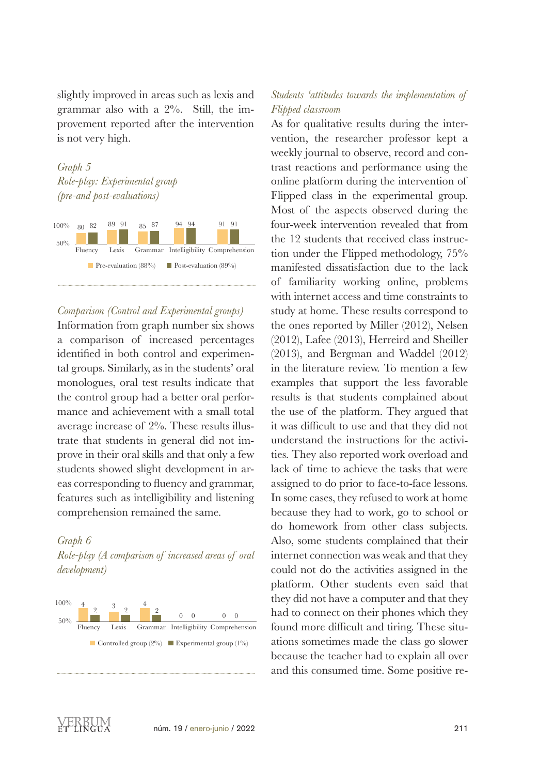slightly improved in areas such as lexis and grammar also with a 2%. Still, the improvement reported after the intervention is not very high.





### *Comparison (Control and Experimental groups)*

Information from graph number six shows a comparison of increased percentages a comparison of increased percentages<br>identified in both control and experimental groups. Similarly, as in the students' oral monologues, oral test results indicate that the control group had a better oral performance and achievement with a small total average increase of 2%. These results illustrate that students in general did not improve in their oral skills and that only a few students showed slight development in areas corresponding to fluency and grammar, features such as intelligibility and listening comprehension remained the same.

### *Graph 6*

*Role-play (A comparison of increased areas of oral development)*



### *Students 'attitudes towards the implementation of Flipped classroom*

As for qualitative results during the intervention, the researcher professor kept a weekly journal to observe, record and contrast reactions and performance using the online platform during the intervention of Flipped class in the experimental group. Most of the aspects observed during the four-week intervention revealed that from the 12 students that received class instruction under the Flipped methodology, 75% manifested dissatisfaction due to the lack of familiarity working online, problems with internet access and time constraints to study at home. These results correspond to the ones reported by Miller (2012), Nelsen (2012), Lafee (2013), Herreird and Sheiller (2013), and Bergman and Waddel (2012) in the literature review. To mention a few examples that support the less favorable results is that students complained about the use of the platform. They argued that it was difficult to use and that they did not understand the instructions for the activities. They also reported work overload and lack of time to achieve the tasks that were assigned to do prior to face-to-face lessons. In some cases, they refused to work at home because they had to work, go to school or do homework from other class subjects. Also, some students complained that their internet connection was weak and that they could not do the activities assigned in the platform. Other students even said that they did not have a computer and that they had to connect on their phones which they found more difficult and tiring. These situations sometimes made the class go slower because the teacher had to explain all over and this consumed time. Some positive re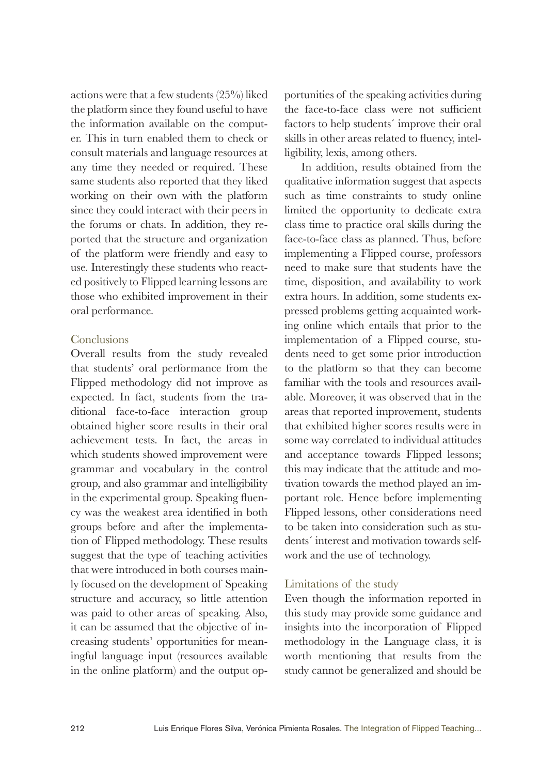actions were that a few students (25%) liked the platform since they found useful to have the information available on the computer. This in turn enabled them to check or consult materials and language resources at any time they needed or required. These same students also reported that they liked working on their own with the platform since they could interact with their peers in the forums or chats. In addition, they reported that the structure and organization of the platform were friendly and easy to use. Interestingly these students who reacted positively to Flipped learning lessons are those who exhibited improvement in their oral performance.

### Conclusions

Overall results from the study revealed that students' oral performance from the Flipped methodology did not improve as expected. In fact, students from the traditional face-to-face interaction group obtained higher score results in their oral achievement tests. In fact, the areas in which students showed improvement were grammar and vocabulary in the control group, and also grammar and intelligibility in the experimental group. Speaking fluency was the weakest area identified in both groups before and after the implementation of Flipped methodology. These results suggest that the type of teaching activities that were introduced in both courses mainly focused on the development of Speaking structure and accuracy, so little attention was paid to other areas of speaking. Also, it can be assumed that the objective of increasing students' opportunities for meaningful language input (resources available in the online platform) and the output opportunities of the speaking activities during the face-to-face class were not sufficient factors to help students´ improve their oral skills in other areas related to fluency, intelligibility, lexis, among others.

In addition, results obtained from the qualitative information suggest that aspects such as time constraints to study online limited the opportunity to dedicate extra class time to practice oral skills during the face-to-face class as planned. Thus, before implementing a Flipped course, professors need to make sure that students have the time, disposition, and availability to work extra hours. In addition, some students expressed problems getting acquainted working online which entails that prior to the implementation of a Flipped course, students need to get some prior introduction to the platform so that they can become familiar with the tools and resources available. Moreover, it was observed that in the areas that reported improvement, students that exhibited higher scores results were in some way correlated to individual attitudes and acceptance towards Flipped lessons; this may indicate that the attitude and motivation towards the method played an important role. Hence before implementing Flipped lessons, other considerations need to be taken into consideration such as students´ interest and motivation towards selfwork and the use of technology.

### Limitations of the study

Even though the information reported in this study may provide some guidance and insights into the incorporation of Flipped methodology in the Language class, it is worth mentioning that results from the study cannot be generalized and should be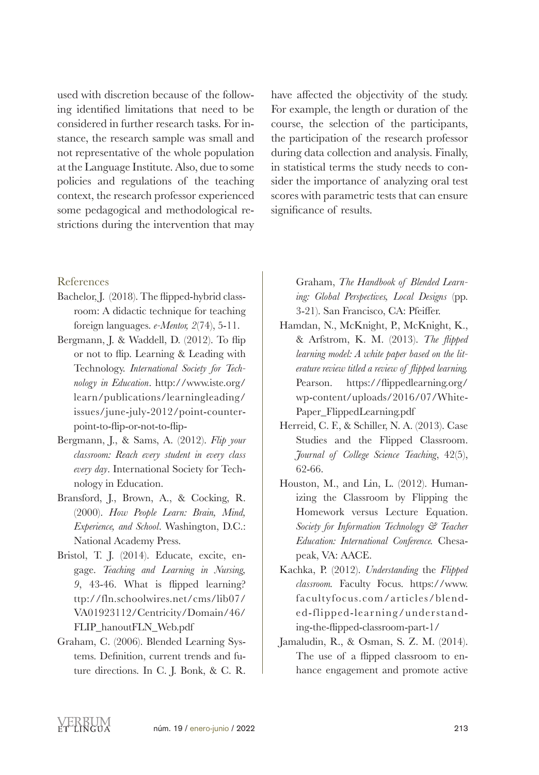used with discretion because of the following identified limitations that need to be considered in further research tasks. For instance, the research sample was small and not representative of the whole population at the Language Institute. Also, due to some policies and regulations of the teaching context, the research professor experienced some pedagogical and methodological restrictions during the intervention that may

have affected the objectivity of the study. For example, the length or duration of the course, the selection of the participants, the participation of the research professor during data collection and analysis. Finally, in statistical terms the study needs to consider the importance of analyzing oral test scores with parametric tests that can ensure significance of results.

### References

- Bachelor, J. (2018). The flipped-hybrid classroom: A didactic technique for teaching foreign languages. *e-Mentor, 2*(74), 5-11.
- Bergmann, J. & Waddell, D. (2012). To flip or not to flip. Learning & Leading with Technology. *International Society for Technology in Education*. http://www.iste.org/ learn/publications/learningleading/ issues/june-july-2012/point-counterpoint-to-flip-or-not-to-flip-
- Bergmann, J., & Sams, A. (2012). *Flip your classroom: Reach every student in every class every day*. International Society for Technology in Education.
- Bransford, J., Brown, A., & Cocking, R. (2000). *How People Learn: Brain, Mind, Experience, and School*. Washington, D.C.: National Academy Press.
- Bristol, T. J. (2014). Educate, excite, engage. *Teaching and Learning in Nursing, 9*, 43-46. What is flipped learning? ttp://fln.schoolwires.net/cms/lib07/ VA01923112/Centricity/Domain/46/ FLIP\_hanoutFLN\_Web.pdf
- Graham, C. (2006). Blended Learning Systems. Definition, current trends and future directions. In C. J. Bonk, & C. R.

Graham, *The Handbook of Blended Learning: Global Perspectives, Local Designs* (pp. 3-21). San Francisco, CA: Pfeiffer.

- Hamdan, N., McKnight, P., McKnight, K., & Arfstrom, K. M. (2013). *The flipped learning model: A white paper based on the literature review titled a review of flipped learning.*  Pearson. https://flippedlearning.org/ wp-content/uploads/2016/07/White-Paper\_FlippedLearning.pdf
- Herreid, C. F., & Schiller, N. A. (2013). Case Studies and the Flipped Classroom. *Journal of College Science Teaching*, 42(5), 62-66.
- Houston, M., and Lin, L. (2012). Humanizing the Classroom by Flipping the Homework versus Lecture Equation. *Society for Information Technology & Teacher Education: International Conference.* Chesapeak, VA: AACE.
- Kachka, P. (2012). *Understanding* the *Flipped classroom.* Faculty Focus. https://www. facultyfocus.com/articles/blended-flipped-learning/understanding-the-flipped-classroom-part-1/
- Jamaludin, R., & Osman, S. Z. M. (2014). The use of a flipped classroom to enhance engagement and promote active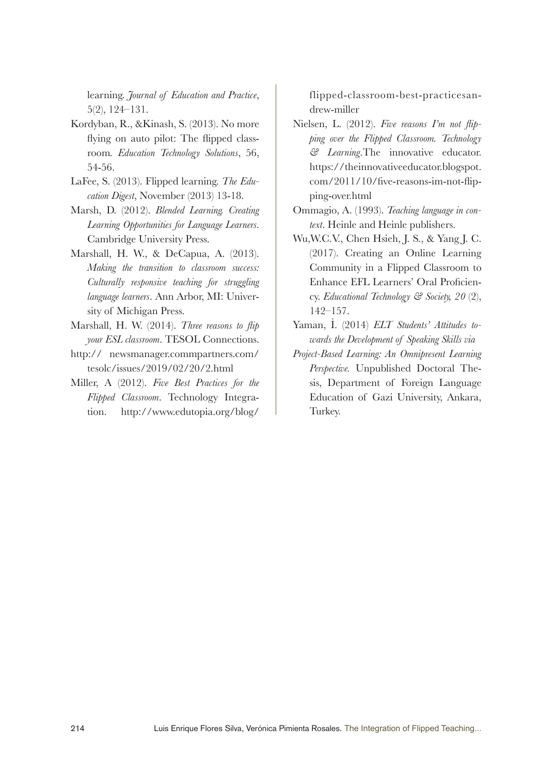learning. *Journal of Education and Practice*, 5(2), 124–131.

- Kordyban, R., &Kinash, S. (2013). No more flying on auto pilot: The flipped classroom*. Education Technology Solutions*, 56, 54-56.
- LaFee, S. (2013). Flipped learning. *The Education Digest*, November (2013) 13-18.
- Marsh, D. (2012). *Blended Learning. Creating Learning Opportunities for Language Learners*. Cambridge University Press.
- Marshall, H. W., & DeCapua, A. (2013). *Making the transition to classroom success: Culturally responsive teaching for struggling language learners*. Ann Arbor, MI: University of Michigan Press.
- Marshall, H. W. (2014). *Three reasons to flip your ESL classroom*. TESOL Connections.
- http:// newsmanager.commpartners.com/ tesolc/issues/2019/02/20/2.html
- Miller, A (2012). *Five Best Practices for the Flipped Classroom*. Technology Integration. http://www.edutopia.org/blog/

flipped-classroom-best-practicesandrew-miller

- Nielsen, L. (2012). *Five reasons I'm not flipping over the Flipped Classroom. Technology & Learning*.The innovative educator. https://theinnovativeeducator.blogspot. com/2011/10/five-reasons-im-not-flipping-over.html
- Ommagio, A. (1993). *Teaching language in context*. Heinle and Heinle publishers.
- Wu,W.C.V., Chen Hsieh, J. S., & Yang J. C. (2017). Creating an Online Learning Community in a Flipped Classroom to Enhance EFL Learners' Oral Proficiency. *Educational Technology & Society, 20* (2), 142–157.
- Yaman, İ. (2014) *ELT Students' Attitudes towards the Development of Speaking Skills via*
- *Project-Based Learning: An Omnipresent Learning Perspective.* Unpublished Doctoral Thesis, Department of Foreign Language Education of Gazi University, Ankara, Turkey.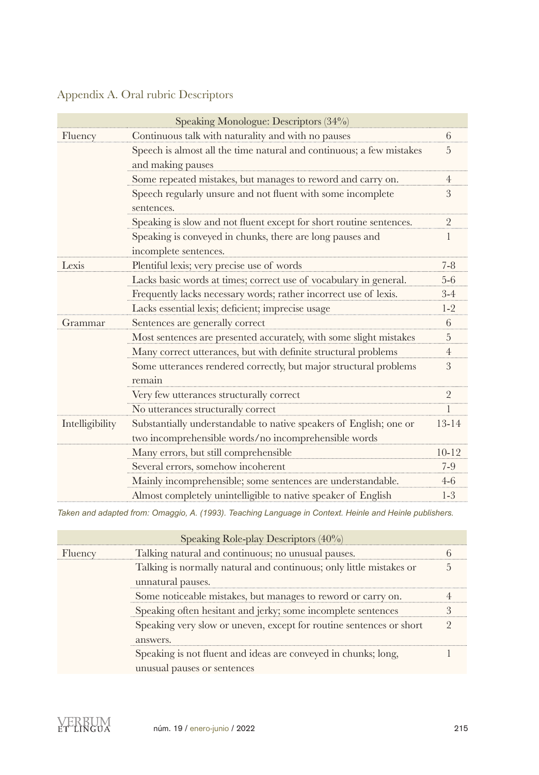|                                                                                                                         | Speaking Monologue: Descriptors (34%)                                |                |  |  |
|-------------------------------------------------------------------------------------------------------------------------|----------------------------------------------------------------------|----------------|--|--|
| Fluency                                                                                                                 | Continuous talk with naturality and with no pauses                   |                |  |  |
|                                                                                                                         | Speech is almost all the time natural and continuous; a few mistakes | 5              |  |  |
|                                                                                                                         | and making pauses                                                    |                |  |  |
|                                                                                                                         | Some repeated mistakes, but manages to reword and carry on.          |                |  |  |
| Speech regularly unsure and not fluent with some incomplete<br>sentences.                                               |                                                                      |                |  |  |
| Speaking is slow and not fluent except for short routine sentences.                                                     |                                                                      |                |  |  |
|                                                                                                                         | Speaking is conveyed in chunks, there are long pauses and            |                |  |  |
|                                                                                                                         | incomplete sentences.                                                |                |  |  |
| Lexis                                                                                                                   | Plentiful lexis; very precise use of words                           | $7 - 8$        |  |  |
|                                                                                                                         | Lacks basic words at times; correct use of vocabulary in general.    | 5-6            |  |  |
|                                                                                                                         | Frequently lacks necessary words; rather incorrect use of lexis.     | $3 - 4$        |  |  |
|                                                                                                                         | Lacks essential lexis; deficient; imprecise usage                    | $1 - 2$        |  |  |
| Frammar                                                                                                                 | Sentences are generally correct                                      | 6              |  |  |
|                                                                                                                         | Most sentences are presented accurately, with some slight mistakes   | 5              |  |  |
|                                                                                                                         | Many correct utterances, but with definite structural problems       |                |  |  |
| Some utterances rendered correctly, but major structural problems<br>remain<br>Very few utterances structurally correct |                                                                      | 3              |  |  |
|                                                                                                                         |                                                                      | $\overline{2}$ |  |  |
|                                                                                                                         | No utterances structurally correct                                   |                |  |  |
| Intelligibility                                                                                                         | Substantially understandable to native speakers of English; one or   | $13 - 14$      |  |  |
|                                                                                                                         | two incomprehensible words/no incomprehensible words                 |                |  |  |
|                                                                                                                         | Many errors, but still comprehensible                                | $10 - 12$      |  |  |
| Several errors, somehow incoherent<br>Mainly incomprehensible; some sentences are understandable.                       |                                                                      | $7-9$          |  |  |
|                                                                                                                         |                                                                      | $4 - 6$        |  |  |
|                                                                                                                         | Almost completely unintelligible to native speaker of English        | $1-3$          |  |  |

# Appendix A. Oral rubric Descriptors

*Taken and adapted from: Omaggio, A. (1993). Teaching Language in Context. Heinle and Heinle publishers.*

| Speaking Role-play Descriptors $(40\%)$                      |                                                                     |  |  |
|--------------------------------------------------------------|---------------------------------------------------------------------|--|--|
| Fluency                                                      | Talking natural and continuous; no unusual pauses.                  |  |  |
|                                                              | Talking is normally natural and continuous; only little mistakes or |  |  |
| unnatural pauses.                                            |                                                                     |  |  |
| Some noticeable mistakes, but manages to reword or carry on. |                                                                     |  |  |
| Speaking often hesitant and jerky; some incomplete sentences |                                                                     |  |  |
|                                                              | Speaking very slow or uneven, except for routine sentences or short |  |  |
|                                                              | answers.                                                            |  |  |
|                                                              | Speaking is not fluent and ideas are conveyed in chunks; long,      |  |  |
|                                                              | unusual pauses or sentences                                         |  |  |